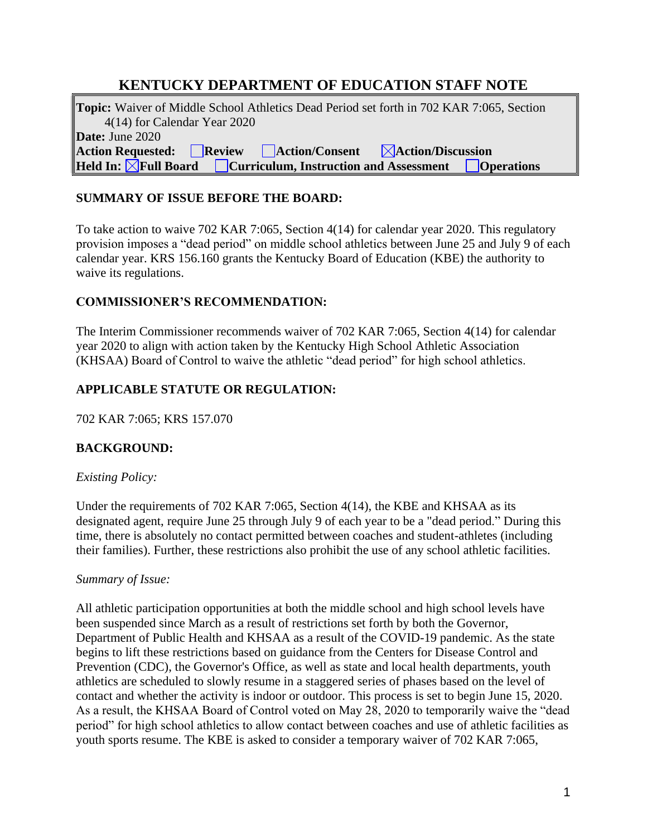# **KENTUCKY DEPARTMENT OF EDUCATION STAFF NOTE**

**Topic:** Waiver of Middle School Athletics Dead Period set forth in 702 KAR 7:065, Section 4(14) for Calendar Year 2020 **Date:** June 2020 **Action Requested: Review Action/Consent Action/Discussion Held In:**  $\boxed{\times}$ **Full Board**  $\boxed{\phantom{\times}}$  Curriculum, Instruction and Assessment  $\boxed{\phantom{\times}}$  Operations

### **SUMMARY OF ISSUE BEFORE THE BOARD:**

To take action to waive 702 KAR 7:065, Section 4(14) for calendar year 2020. This regulatory provision imposes a "dead period" on middle school athletics between June 25 and July 9 of each calendar year. KRS 156.160 grants the Kentucky Board of Education (KBE) the authority to waive its regulations.

#### **COMMISSIONER'S RECOMMENDATION:**

The Interim Commissioner recommends waiver of 702 KAR 7:065, Section 4(14) for calendar year 2020 to align with action taken by the Kentucky High School Athletic Association (KHSAA) Board of Control to waive the athletic "dead period" for high school athletics.

### **APPLICABLE STATUTE OR REGULATION:**

702 KAR 7:065; KRS 157.070

## **BACKGROUND:**

#### *Existing Policy:*

Under the requirements of 702 KAR 7:065, Section 4(14), the KBE and KHSAA as its designated agent, require June 25 through July 9 of each year to be a "dead period." During this time, there is absolutely no contact permitted between coaches and student-athletes (including their families). Further, these restrictions also prohibit the use of any school athletic facilities.

#### *Summary of Issue:*

All athletic participation opportunities at both the middle school and high school levels have been suspended since March as a result of restrictions set forth by both the Governor, Department of Public Health and KHSAA as a result of the COVID-19 pandemic. As the state begins to lift these restrictions based on guidance from the Centers for Disease Control and Prevention (CDC), the Governor's Office, as well as state and local health departments, youth athletics are scheduled to slowly resume in a staggered series of phases based on the level of contact and whether the activity is indoor or outdoor. This process is set to begin June 15, 2020. As a result, the KHSAA Board of Control voted on May 28, 2020 to temporarily waive the "dead period" for high school athletics to allow contact between coaches and use of athletic facilities as youth sports resume. The KBE is asked to consider a temporary waiver of 702 KAR 7:065,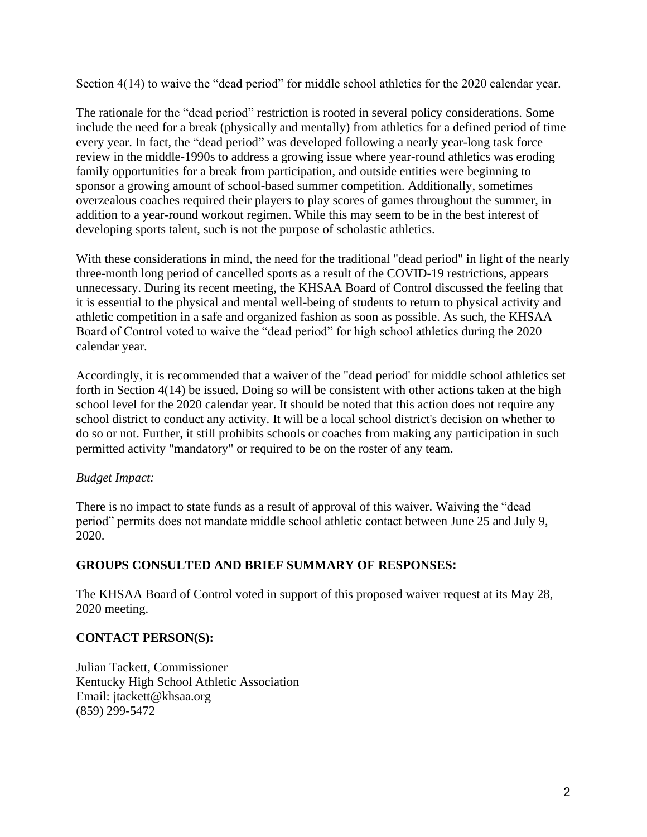Section 4(14) to waive the "dead period" for middle school athletics for the 2020 calendar year.

The rationale for the "dead period" restriction is rooted in several policy considerations. Some include the need for a break (physically and mentally) from athletics for a defined period of time every year. In fact, the "dead period" was developed following a nearly year-long task force review in the middle-1990s to address a growing issue where year-round athletics was eroding family opportunities for a break from participation, and outside entities were beginning to sponsor a growing amount of school-based summer competition. Additionally, sometimes overzealous coaches required their players to play scores of games throughout the summer, in addition to a year-round workout regimen. While this may seem to be in the best interest of developing sports talent, such is not the purpose of scholastic athletics.

With these considerations in mind, the need for the traditional "dead period" in light of the nearly three-month long period of cancelled sports as a result of the COVID-19 restrictions, appears unnecessary. During its recent meeting, the KHSAA Board of Control discussed the feeling that it is essential to the physical and mental well-being of students to return to physical activity and athletic competition in a safe and organized fashion as soon as possible. As such, the KHSAA Board of Control voted to waive the "dead period" for high school athletics during the 2020 calendar year.

Accordingly, it is recommended that a waiver of the "dead period' for middle school athletics set forth in Section 4(14) be issued. Doing so will be consistent with other actions taken at the high school level for the 2020 calendar year. It should be noted that this action does not require any school district to conduct any activity. It will be a local school district's decision on whether to do so or not. Further, it still prohibits schools or coaches from making any participation in such permitted activity "mandatory" or required to be on the roster of any team.

#### *Budget Impact:*

There is no impact to state funds as a result of approval of this waiver. Waiving the "dead period" permits does not mandate middle school athletic contact between June 25 and July 9, 2020.

#### **GROUPS CONSULTED AND BRIEF SUMMARY OF RESPONSES:**

The KHSAA Board of Control voted in support of this proposed waiver request at its May 28, 2020 meeting.

#### **CONTACT PERSON(S):**

Julian Tackett, Commissioner Kentucky High School Athletic Association Email: jtackett@khsaa.org (859) 299-5472